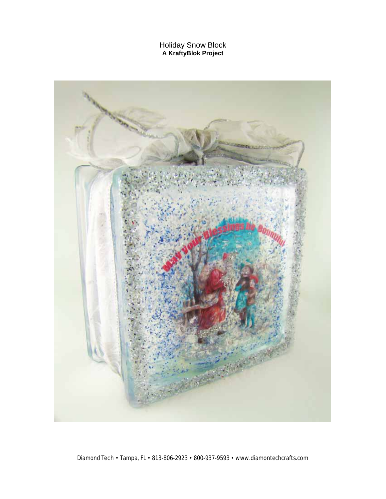Holiday Snow Block **A KraftyBlok Project**

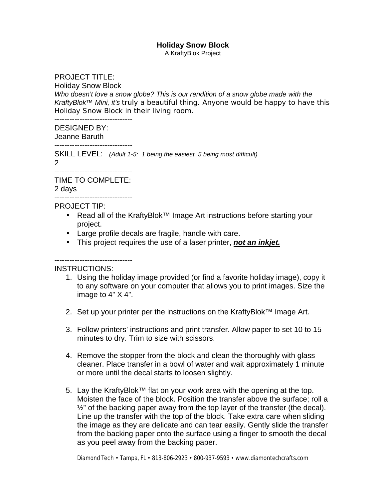## **Holiday Snow Block**

A KraftyBlok Project

## PROJECT TITLE:

Holiday Snow Block

*Who doesn't love a snow globe? This is our rendition of a snow globe made with the KraftyBlok™ Mini, it's truly a beautiful thing. Anyone would be happy to have this Holiday Snow Block in their living room.* 

------------------------------- DESIGNED BY:

Jeanne Baruth

-------------------------------

SKILL LEVEL: *(Adult 1-5: 1 being the easiest, 5 being most difficult)* 2

------------------------------- TIME TO COMPLETE: 2 days

-------------------------------

PROJECT TIP:

- Read all of the KraftyBlok™ Image Art instructions before starting your project.
- Large profile decals are fragile, handle with care.
- This project requires the use of a laser printer, *not an inkjet.*

-------------------------------

INSTRUCTIONS:

- 1. Using the holiday image provided (or find a favorite holiday image), copy it to any software on your computer that allows you to print images. Size the image to 4" X 4".
- 2. Set up your printer per the instructions on the KraftyBlok™ Image Art.
- 3. Follow printers' instructions and print transfer. Allow paper to set 10 to 15 minutes to dry. Trim to size with scissors.
- 4. Remove the stopper from the block and clean the thoroughly with glass cleaner. Place transfer in a bowl of water and wait approximately 1 minute or more until the decal starts to loosen slightly.
- 5. Lay the KraftyBlok™ flat on your work area with the opening at the top. Moisten the face of the block. Position the transfer above the surface; roll a  $\frac{1}{2}$ " of the backing paper away from the top layer of the transfer (the decal). Line up the transfer with the top of the block. Take extra care when sliding the image as they are delicate and can tear easily. Gently slide the transfer from the backing paper onto the surface using a finger to smooth the decal as you peel away from the backing paper.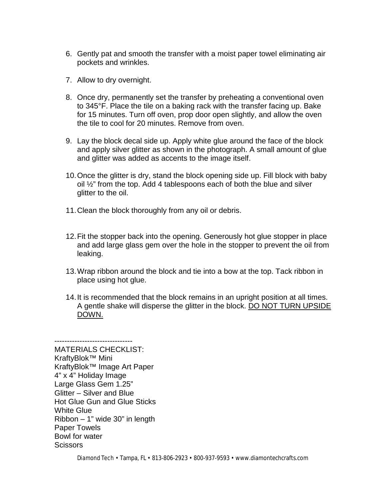- 6. Gently pat and smooth the transfer with a moist paper towel eliminating air pockets and wrinkles.
- 7. Allow to dry overnight.
- 8. Once dry, permanently set the transfer by preheating a conventional oven to 345°F. Place the tile on a baking rack with the transfer facing up. Bake for 15 minutes. Turn off oven, prop door open slightly, and allow the oven the tile to cool for 20 minutes. Remove from oven.
- 9. Lay the block decal side up. Apply white glue around the face of the block and apply silver glitter as shown in the photograph. A small amount of glue and glitter was added as accents to the image itself.
- 10.Once the glitter is dry, stand the block opening side up. Fill block with baby oil ½" from the top. Add 4 tablespoons each of both the blue and silver glitter to the oil.
- 11.Clean the block thoroughly from any oil or debris.
- 12.Fit the stopper back into the opening. Generously hot glue stopper in place and add large glass gem over the hole in the stopper to prevent the oil from leaking.
- 13.Wrap ribbon around the block and tie into a bow at the top. Tack ribbon in place using hot glue.
- 14.It is recommended that the block remains in an upright position at all times. A gentle shake will disperse the glitter in the block. DO NOT TURN UPSIDE DOWN.

------------------------------- MATERIALS CHECKLIST: KraftyBlok™ Mini KraftyBlok™ Image Art Paper 4" x 4" Holiday Image Large Glass Gem 1.25" Glitter – Silver and Blue Hot Glue Gun and Glue Sticks White Glue Ribbon – 1" wide 30" in length Paper Towels Bowl for water **Scissors**